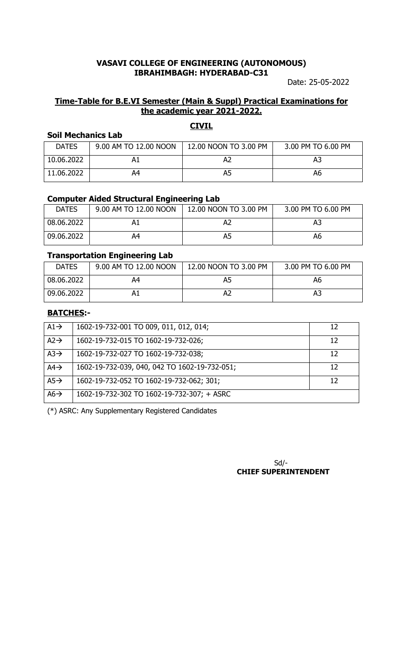Date: 25-05-2022

### **Time-Table for B.E.VI Semester (Main & Suppl) Practical Examinations for the academic year 2021-2022.**

**CIVIL**

# **Soil Mechanics Lab**

| <b>DATES</b> | 9.00 AM TO 12.00 NOON | 12.00 NOON TO 3.00 PM | 3.00 PM TO 6.00 PM |
|--------------|-----------------------|-----------------------|--------------------|
| 10.06.2022   |                       |                       | A3                 |
| 11.06.2022   | A4                    | A5                    | А6                 |

#### **Computer Aided Structural Engineering Lab**

| <b>DATES</b> | 9.00 AM TO 12.00 NOON | 12.00 NOON TO 3.00 PM | 3.00 PM TO 6.00 PM |
|--------------|-----------------------|-----------------------|--------------------|
| 08.06.2022   |                       |                       | А3                 |
| 09.06.2022   | А4                    | A5                    | A6                 |

### **Transportation Engineering Lab**

| <b>DATES</b> | 9.00 AM TO 12.00 NOON | 12.00 NOON TO 3.00 PM | 3.00 PM TO 6.00 PM |
|--------------|-----------------------|-----------------------|--------------------|
| 08.06.2022   | Α4                    |                       | A6                 |
| 09.06.2022   |                       |                       | AЗ                 |

### **BATCHES:-**

| $A1 \rightarrow$ | 1602-19-732-001 TO 009, 011, 012, 014;        | 12 |
|------------------|-----------------------------------------------|----|
| $A2 \rightarrow$ | 1602-19-732-015 TO 1602-19-732-026;           | 12 |
| $A3\rightarrow$  | 1602-19-732-027 TO 1602-19-732-038;           | 12 |
| $AA\rightarrow$  | 1602-19-732-039, 040, 042 TO 1602-19-732-051; | 12 |
| $A5\rightarrow$  | 1602-19-732-052 TO 1602-19-732-062; 301;      | 12 |
| $A6 \rightarrow$ | 1602-19-732-302 TO 1602-19-732-307; + ASRC    |    |

(\*) ASRC: Any Supplementary Registered Candidates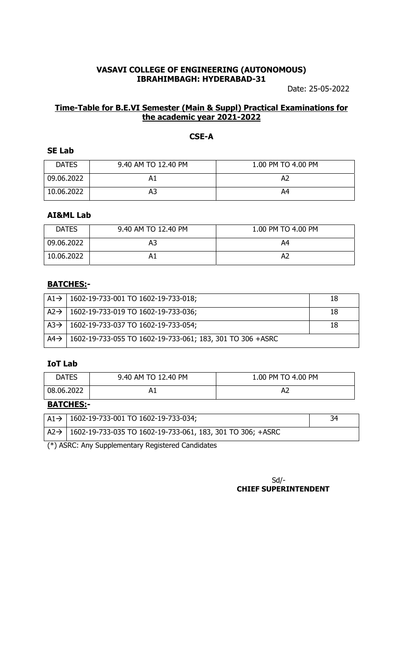Date: 25-05-2022

# **Time-Table for B.E.VI Semester (Main & Suppl) Practical Examinations for the academic year 2021-2022**

# **CSE-A**

### **SE Lab**

| <b>DATES</b> | 9.40 AM TO 12.40 PM | 1.00 PM TO 4.00 PM |
|--------------|---------------------|--------------------|
| 09.06.2022   |                     |                    |
| 10.06.2022   | А3                  | A4                 |

# **AI&ML Lab**

| <b>DATES</b> | 9.40 AM TO 12.40 PM | 1.00 PM TO 4.00 PM |
|--------------|---------------------|--------------------|
| 09.06.2022   | А3                  | A4                 |
| 10.06.2022   |                     | Aż                 |

### **BATCHES:-**

| $ $ A1 $\rightarrow$   1602-19-733-001 TO 1602-19-733-018;        | -18 |
|-------------------------------------------------------------------|-----|
| $A2 \rightarrow 1602 - 19 - 733 - 019$ TO 1602-19-733-036;        | 18  |
| $A3 \rightarrow$   1602-19-733-037 TO 1602-19-733-054;            | -18 |
| $AA$ + 1602-19-733-055 TO 1602-19-733-061; 183, 301 TO 306 + ASRC |     |

## **IoT Lab**

| <b>DATES</b>    | 9.40 AM TO 12.40 PM | 1.00 PM TO 4.00 PM |
|-----------------|---------------------|--------------------|
| 08.06.2022      | Hт                  | Az.                |
| <b>DATCUEC.</b> |                     |                    |

### **BATCHES:-**

| $A1 \rightarrow 1602 - 19 - 733 - 001$ TO 1602-19-733-034;                    | 34 |  |
|-------------------------------------------------------------------------------|----|--|
| $A2 \rightarrow$   1602-19-733-035 TO 1602-19-733-061, 183, 301 TO 306; +ASRC |    |  |
| (*) ASRC: Any Supplementary Registered Candidates                             |    |  |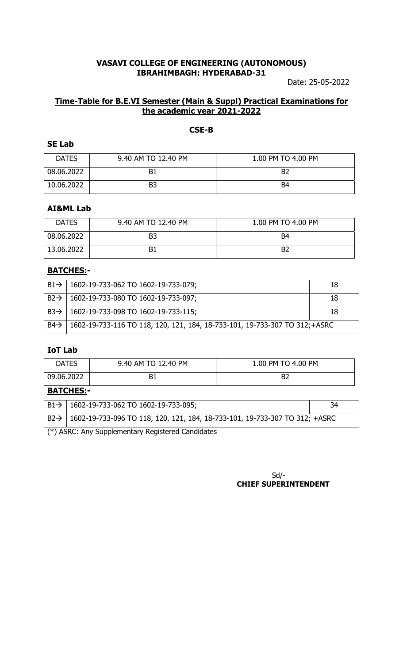Date: 25-05-2022

# **Time-Table for B.E.VI Semester (Main & Suppl) Practical Examinations for the academic year 2021-2022**

## **CSE-B**

#### **SE Lab**

| <b>DATES</b> | 9.40 AM TO 12.40 PM | 1.00 PM TO 4.00 PM |
|--------------|---------------------|--------------------|
| 08.06.2022   | B1                  | B <sub>2</sub>     |
| 10.06.2022   | B <sub>3</sub>      | B4                 |

### **AI&ML Lab**

| <b>DATES</b> | 9.40 AM TO 12.40 PM | 1.00 PM TO 4.00 PM |
|--------------|---------------------|--------------------|
| 08.06.2022   | B3                  | B4                 |
| 13.06.2022   |                     | B2                 |

# **BATCHES:-**

|                 | $B1 \rightarrow$   1602-19-733-062 TO 1602-19-733-079;                     | 18 |
|-----------------|----------------------------------------------------------------------------|----|
|                 | $B2 \rightarrow$   1602-19-733-080 TO 1602-19-733-097;                     | 18 |
|                 | $B3 \rightarrow$   1602-19-733-098 TO 1602-19-733-115;                     | 18 |
| $B4\rightarrow$ | 1602-19-733-116 TO 118, 120, 121, 184, 18-733-101, 19-733-307 TO 312;+ASRC |    |

#### **IoT Lab**

| <b>DATES</b>     | 9.40 AM TO 12.40 PM | 1.00 PM TO 4.00 PM |
|------------------|---------------------|--------------------|
| 09.06.2022       |                     |                    |
| <b>BATCHES:-</b> |                     |                    |

| $^1$ B2 $\rightarrow$   1602-19-733-096 TO 118, 120, 121, 184, 18-733-101, 19-733-307 TO 312; +ASRC | $B1 \rightarrow$   1602-19-733-062 TO 1602-19-733-095; | 34 |  |
|-----------------------------------------------------------------------------------------------------|--------------------------------------------------------|----|--|
|                                                                                                     |                                                        |    |  |

(\*) ASRC: Any Supplementary Registered Candidates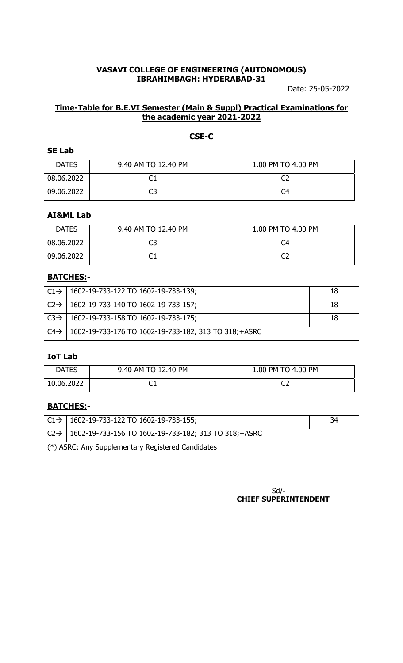Date: 25-05-2022

# **Time-Table for B.E.VI Semester (Main & Suppl) Practical Examinations for the academic year 2021-2022**

## **CSE-C**

### **SE Lab**

| <b>DATES</b> | 9.40 AM TO 12.40 PM | 1.00 PM TO 4.00 PM |
|--------------|---------------------|--------------------|
| 08.06.2022   |                     |                    |
| 09.06.2022   | ب                   | C4                 |

### **AI&ML Lab**

| <b>DATES</b> | 9.40 AM TO 12.40 PM | 1.00 PM TO 4.00 PM |
|--------------|---------------------|--------------------|
| 08.06.2022   |                     | C4                 |
| 09.06.2022   |                     |                    |

# **BATCHES:-**

|                  | $  C1 \rightarrow   1602 - 19 - 733 - 122   101602 - 19 - 733 - 139  $ | 18 |
|------------------|------------------------------------------------------------------------|----|
|                  | $C2 \rightarrow$   1602-19-733-140 TO 1602-19-733-157;                 | 18 |
|                  | $C3 \rightarrow$   1602-19-733-158 TO 1602-19-733-175;                 |    |
| $C4 \rightarrow$ | 1602-19-733-176 TO 1602-19-733-182, 313 TO 318; + ASRC                 |    |

# **IoT Lab**

| <b>DATES</b> | 9.40 AM TO 12.40 PM | 1.00 PM TO 4.00 PM |
|--------------|---------------------|--------------------|
| 10.06.2022   | ◡⊥                  |                    |

# **BATCHES:-**

|   | $ $ C1 $\rightarrow$   1602-19-733-122 TO 1602-19-733-155;                   |  |  |
|---|------------------------------------------------------------------------------|--|--|
|   | $ $ C2 $\rightarrow$   1602-19-733-156 TO 1602-19-733-182; 313 TO 318; +ASRC |  |  |
| . |                                                                              |  |  |

(\*) ASRC: Any Supplementary Registered Candidates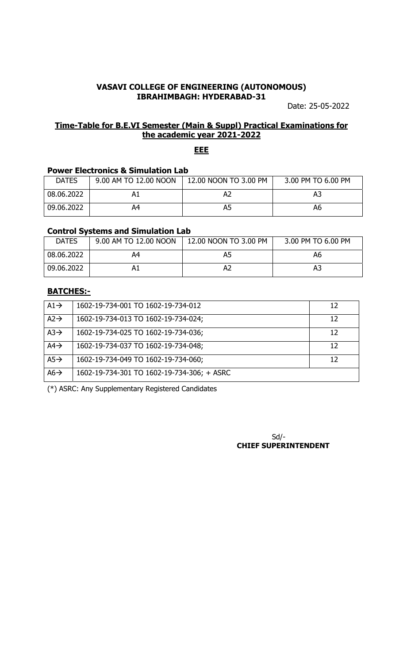Date: 25-05-2022

## **Time-Table for B.E.VI Semester (Main & Suppl) Practical Examinations for the academic year 2021-2022**

### **EEE**

# **Power Electronics & Simulation Lab**

| <b>DATES</b> | 9.00 AM TO 12.00 NOON | 12.00 NOON TO 3.00 PM | 3.00 PM TO 6.00 PM |
|--------------|-----------------------|-----------------------|--------------------|
| 08.06.2022   |                       |                       | A3                 |
| 09.06.2022   | 44                    | A5                    | А6                 |

#### **Control Systems and Simulation Lab**

| <b>DATES</b> | 9.00 AM TO 12.00 NOON | 12.00 NOON TO 3.00 PM | 3.00 PM TO 6.00 PM |
|--------------|-----------------------|-----------------------|--------------------|
| 08.06.2022   | Α4                    |                       | А6                 |
| 09.06.2022   |                       |                       | AЗ                 |

### **BATCHES:-**

| $A1 \rightarrow$ | 1602-19-734-001 TO 1602-19-734-012         | 12 |
|------------------|--------------------------------------------|----|
| $A2 \rightarrow$ | 1602-19-734-013 TO 1602-19-734-024;        | 12 |
| $A3\rightarrow$  | 1602-19-734-025 TO 1602-19-734-036;        | 12 |
| $AA\rightarrow$  | 1602-19-734-037 TO 1602-19-734-048;        | 12 |
| $A5\rightarrow$  | 1602-19-734-049 TO 1602-19-734-060;        | 12 |
| $A6 \rightarrow$ | 1602-19-734-301 TO 1602-19-734-306; + ASRC |    |

(\*) ASRC: Any Supplementary Registered Candidates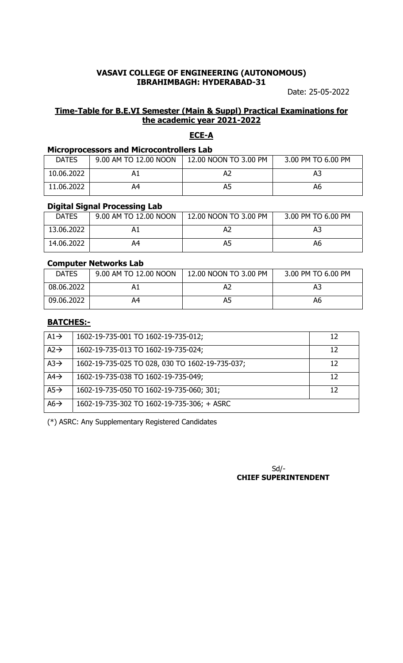Date: 25-05-2022

# **Time-Table for B.E.VI Semester (Main & Suppl) Practical Examinations for the academic year 2021-2022**

### **ECE-A**

### **Microprocessors and Microcontrollers Lab**

| <b>DATES</b> | 9.00 AM TO 12.00 NOON | 12.00 NOON TO 3.00 PM | 3.00 PM TO 6.00 PM |
|--------------|-----------------------|-----------------------|--------------------|
| 10.06.2022   |                       |                       | AЗ                 |
| 11.06.2022   | 44                    | A5                    | Aб                 |

#### **Digital Signal Processing Lab**

| <b>DATES</b> | 9.00 AM TO 12.00 NOON | 12.00 NOON TO 3.00 PM | 3.00 PM TO 6.00 PM |
|--------------|-----------------------|-----------------------|--------------------|
| 13.06.2022   |                       |                       | A3                 |
| 14.06.2022   | А4                    | A5                    | A6                 |

#### **Computer Networks Lab**

| <b>DATES</b> | 9.00 AM TO 12.00 NOON | 12.00 NOON TO 3.00 PM | 3.00 PM TO 6.00 PM |
|--------------|-----------------------|-----------------------|--------------------|
| 08.06.2022   |                       |                       |                    |
| 09.06.2022   | 44                    |                       | Aб                 |

# **BATCHES:-**

| $A1 \rightarrow$ | 1602-19-735-001 TO 1602-19-735-012;             | 12 |
|------------------|-------------------------------------------------|----|
| $A2 \rightarrow$ | 1602-19-735-013 TO 1602-19-735-024;             | 12 |
| $A3\rightarrow$  | 1602-19-735-025 TO 028, 030 TO 1602-19-735-037; | 12 |
| $AA\rightarrow$  | 1602-19-735-038 TO 1602-19-735-049;             | 12 |
| $A5\rightarrow$  | 1602-19-735-050 TO 1602-19-735-060; 301;        | 12 |
| $A6 \rightarrow$ | 1602-19-735-302 TO 1602-19-735-306; + ASRC      |    |

(\*) ASRC: Any Supplementary Registered Candidates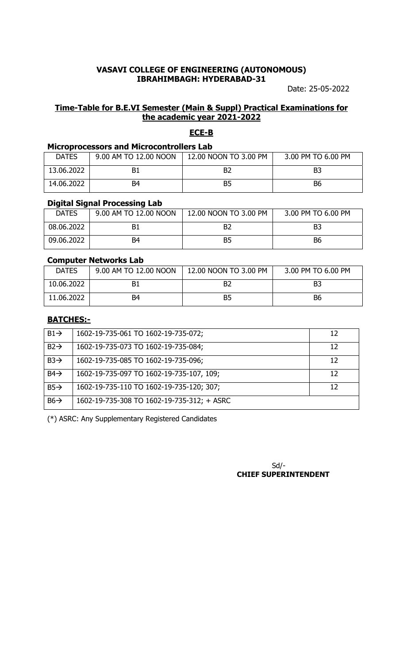Date: 25-05-2022

# **Time-Table for B.E.VI Semester (Main & Suppl) Practical Examinations for the academic year 2021-2022**

### **ECE-B**

#### **Microprocessors and Microcontrollers Lab**

| <b>DATES</b> | 9.00 AM TO 12.00 NOON | 12.00 NOON TO 3.00 PM | 3.00 PM TO 6.00 PM |
|--------------|-----------------------|-----------------------|--------------------|
| 13.06.2022   |                       |                       | B3                 |
| 14.06.2022   | B4                    | B5                    | B <sub>6</sub>     |

### **Digital Signal Processing Lab**

| <b>DATES</b> | 9.00 AM TO 12.00 NOON | 12.00 NOON TO 3.00 PM | 3.00 PM TO 6.00 PM |
|--------------|-----------------------|-----------------------|--------------------|
| 08.06.2022   |                       |                       | B3                 |
| 09.06.2022   | B4                    | Β5                    | B6                 |

#### **Computer Networks Lab**

| <b>DATES</b> | 9.00 AM TO 12.00 NOON | 12.00 NOON TO 3.00 PM | 3.00 PM TO 6.00 PM |
|--------------|-----------------------|-----------------------|--------------------|
| 10.06.2022   |                       |                       | B3                 |
| 11.06.2022   | B4                    | B5                    | B <sub>6</sub>     |

# **BATCHES:-**

| $B1 \rightarrow$ | 1602-19-735-061 TO 1602-19-735-072;        | 12 |
|------------------|--------------------------------------------|----|
| $B2 \rightarrow$ | 1602-19-735-073 TO 1602-19-735-084;        | 12 |
| $B3\rightarrow$  | 1602-19-735-085 TO 1602-19-735-096;        | 12 |
| $B4\rightarrow$  | 1602-19-735-097 TO 1602-19-735-107, 109;   | 12 |
| $B5\rightarrow$  | 1602-19-735-110 TO 1602-19-735-120; 307;   | 12 |
| $B6 \rightarrow$ | 1602-19-735-308 TO 1602-19-735-312; + ASRC |    |

(\*) ASRC: Any Supplementary Registered Candidates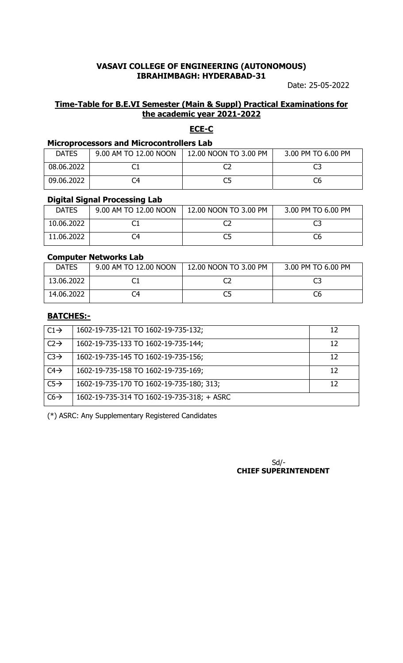Date: 25-05-2022

### **Time-Table for B.E.VI Semester (Main & Suppl) Practical Examinations for the academic year 2021-2022**

### **ECE-C**

### **Microprocessors and Microcontrollers Lab**

| <b>DATES</b> | 9.00 AM TO 12.00 NOON | 12.00 NOON TO 3.00 PM | 3.00 PM TO 6.00 PM |
|--------------|-----------------------|-----------------------|--------------------|
| 08.06.2022   |                       |                       |                    |
| 09.06.2022   |                       |                       | C6                 |

#### **Digital Signal Processing Lab**

| <b>DATES</b> | 9.00 AM TO 12.00 NOON | 12.00 NOON TO 3.00 PM | 3.00 PM TO 6.00 PM |
|--------------|-----------------------|-----------------------|--------------------|
| 10.06.2022   |                       |                       |                    |
| 11.06.2022   | `4                    |                       | C6                 |

### **Computer Networks Lab**

| <b>DATES</b> | 9.00 AM TO 12.00 NOON | 12.00 NOON TO 3.00 PM | 3.00 PM TO 6.00 PM |
|--------------|-----------------------|-----------------------|--------------------|
| 13.06.2022   |                       |                       |                    |
| 14.06.2022   |                       |                       | C6                 |

### **BATCHES:-**

| $C1 \rightarrow$ | 1602-19-735-121 TO 1602-19-735-132;        | 12 |
|------------------|--------------------------------------------|----|
| $C2 \rightarrow$ | 1602-19-735-133 TO 1602-19-735-144;        | 12 |
| $C3 \rightarrow$ | 1602-19-735-145 TO 1602-19-735-156;        | 12 |
| $C4\rightarrow$  | 1602-19-735-158 TO 1602-19-735-169;        | 12 |
| $C5\rightarrow$  | 1602-19-735-170 TO 1602-19-735-180; 313;   | 12 |
| $C6 \rightarrow$ | 1602-19-735-314 TO 1602-19-735-318; + ASRC |    |

(\*) ASRC: Any Supplementary Registered Candidates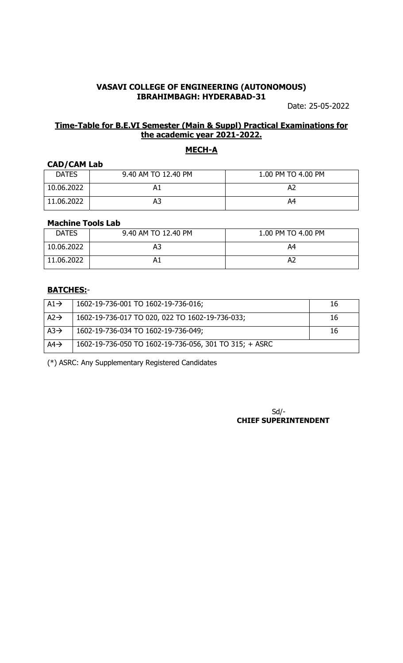Date: 25-05-2022

### **Time-Table for B.E.VI Semester (Main & Suppl) Practical Examinations for the academic year 2021-2022.**

# **MECH-A**

#### **CAD/CAM Lab**

| <b>DATES</b> | 9.40 AM TO 12.40 PM | 1.00 PM TO 4.00 PM |
|--------------|---------------------|--------------------|
| 10.06.2022   |                     | A2                 |
| 11.06.2022   | A۵                  | A4                 |

### **Machine Tools Lab**

| <b>DATES</b> | 9.40 AM TO 12.40 PM | 1.00 PM TO 4.00 PM |
|--------------|---------------------|--------------------|
| 10.06.2022   | A3                  | A4                 |
| 11.06.2022   | Al                  | . Az               |

#### **BATCHES:**-

| $A1 \rightarrow$ | 1602-19-736-001 TO 1602-19-736-016;                    | 16 |
|------------------|--------------------------------------------------------|----|
| $A2 \rightarrow$ | 1602-19-736-017 TO 020, 022 TO 1602-19-736-033;        | 16 |
| $A3\rightarrow$  | 1602-19-736-034 TO 1602-19-736-049;                    | 16 |
| $AA\rightarrow$  | 1602-19-736-050 TO 1602-19-736-056, 301 TO 315; + ASRC |    |

(\*) ASRC: Any Supplementary Registered Candidates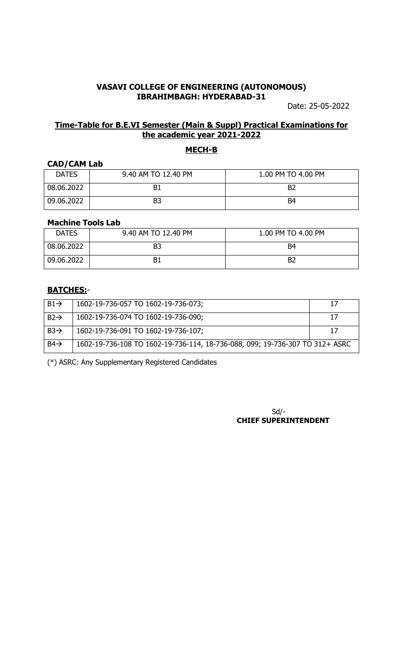Date: 25-05-2022

### **Time-Table for B.E.VI Semester (Main & Suppl) Practical Examinations for the academic year 2021-2022**

# **MECH-B**

#### **CAD/CAM Lab**

| <b>DATES</b> | 9.40 AM TO 12.40 PM | 1.00 PM TO 4.00 PM |
|--------------|---------------------|--------------------|
| 08.06.2022   |                     | B <sub>2</sub>     |
| 09.06.2022   |                     | B4                 |

### **Machine Tools Lab**

| <b>DATES</b> | 9.40 AM TO 12.40 PM | 1.00 PM TO 4.00 PM |
|--------------|---------------------|--------------------|
| 08.06.2022   | B <sub>3</sub>      | B4                 |
| 09.06.2022   | <b>B1</b>           | B <sub>2</sub>     |

#### **BATCHES:**-

| $B1\rightarrow$  | 1602-19-736-057 TO 1602-19-736-073;                                          |  |
|------------------|------------------------------------------------------------------------------|--|
| $B2 \rightarrow$ | 1602-19-736-074 TO 1602-19-736-090;                                          |  |
| $B3\rightarrow$  | 1602-19-736-091 TO 1602-19-736-107;                                          |  |
| $B4 \rightarrow$ | 1602-19-736-108 TO 1602-19-736-114, 18-736-088, 099; 19-736-307 TO 312+ ASRC |  |

(\*) ASRC: Any Supplementary Registered Candidates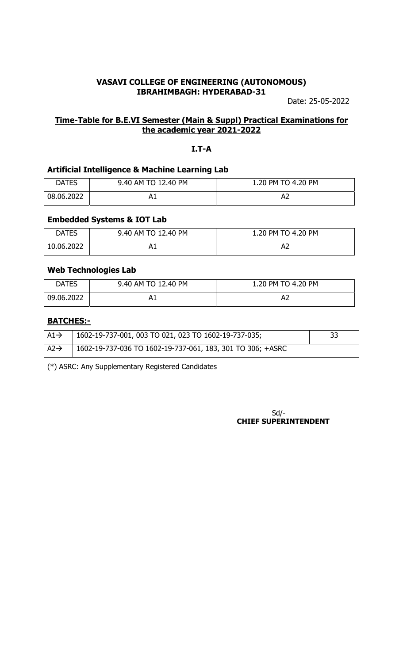Date: 25-05-2022

### **Time-Table for B.E.VI Semester (Main & Suppl) Practical Examinations for the academic year 2021-2022**

#### **I.T-A**

#### **Artificial Intelligence & Machine Learning Lab**

| <b>DATES</b> | 9.40 AM TO 12.40 PM | 1.20 PM TO 4.20 PM |
|--------------|---------------------|--------------------|
| 08.06.2022   |                     | Az.                |

#### **Embedded Systems & IOT Lab**

| <b>DATES</b> | 9.40 AM TO 12.40 PM | 1.20 PM TO 4.20 PM |
|--------------|---------------------|--------------------|
| 10.06.2022   |                     |                    |

### **Web Technologies Lab**

| DATES      | 9.40 AM TO 12.40 PM | 1.20 PM TO 4.20 PM |
|------------|---------------------|--------------------|
| 09.06.2022 |                     |                    |

# **BATCHES:-**

| A1 $\rightarrow$ | $1602 - 19 - 737 - 001$ , 003 TO 021, 023 TO 1602-19-737-035; |  |
|------------------|---------------------------------------------------------------|--|
| $A2 \rightarrow$ | 1602-19-737-036 TO 1602-19-737-061, 183, 301 TO 306; +ASRC    |  |

(\*) ASRC: Any Supplementary Registered Candidates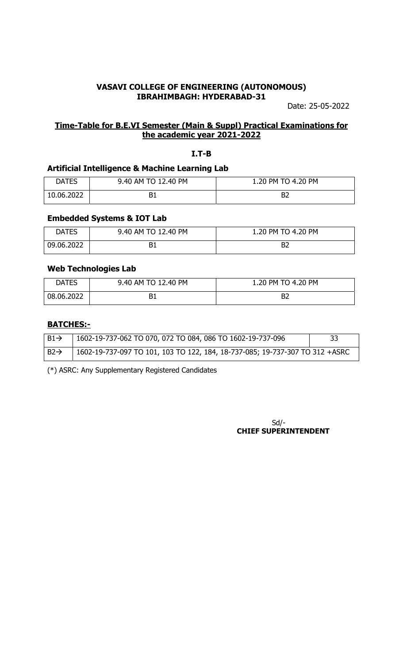Date: 25-05-2022

### **Time-Table for B.E.VI Semester (Main & Suppl) Practical Examinations for the academic year 2021-2022**

### **I.T-B**

### **Artificial Intelligence & Machine Learning Lab**

| <b>DATES</b> | 9.40 AM TO 12.40 PM | 1.20 PM TO 4.20 PM |
|--------------|---------------------|--------------------|
| 10.06.2022   |                     | DZ                 |

### **Embedded Systems & IOT Lab**

| <b>DATES</b> | 9.40 AM TO 12.40 PM | 1.20 PM TO 4.20 PM |
|--------------|---------------------|--------------------|
| 09.06.2022   |                     | B2                 |

#### **Web Technologies Lab**

| <b>DATES</b> | 9.40 AM TO 12.40 PM | 1.20 PM TO 4.20 PM |
|--------------|---------------------|--------------------|
| 08.06.2022   |                     | רם                 |

### **BATCHES:-**

| $B1 \rightarrow$ | 1602-19-737-062 TO 070, 072 TO 084, 086 TO 1602-19-737-096                   | 33 |
|------------------|------------------------------------------------------------------------------|----|
| $B2 \rightarrow$ | 1602-19-737-097 TO 101, 103 TO 122, 184, 18-737-085; 19-737-307 TO 312 +ASRC |    |

(\*) ASRC: Any Supplementary Registered Candidates